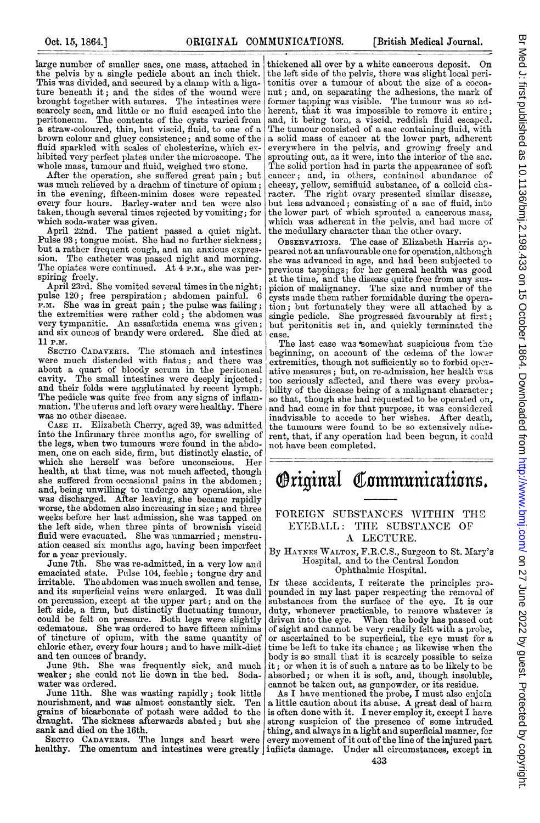large number of smaller sacs, one mass, attached in the pelvis by a single pedicle about an inch thick. This was divided, and secured by a clamp with a ligature beneath it; and the sides of the wound were brought together with sutures. The intestines were scarcely seen, and little or no fluid escaped into the peritoneuri. The contents of the cysts varied from a straw-coloured, thin, but viscid, fluid, to one of a brown colour and gluey consistence; and some of the fluid sparkled with scales of cholesterine, which exhibited very perfect plates under the microscope. The whole mass, tumour and fluid, weighed two stone.

After the operation, she suffered great pain; but was much relieved by a drachm of tincture of opium; in the evening, fifteen-minim doses were repeated every four hours. Barley-water and tea were also taken, though several times rejected by vomiting; for which soda-water was given.

April 22nd. The patient passed a quiet night. Pulse 93; tongue moist. She had no further sickness; but a rather frequent cough, and an anxious expression. The catheter was passed night and morning. The opiates were continued. At 4 P.M., she was perspiring freely.

April 23rd. She vomited several times in the night; pulse 120; free perspiration; abdomen painful. 6 P.m. She was in great pain; the pulse was failing; the extremities were rather cold; the abdomen was very tympanitic. An assafoetida enema was given; and six ounces of brandy were ordered. She died at 11 P.M.

SECTIO CADAVERIS. The stomach and intestines were much distended with flatus; and there was about a quart of bloody serum in the peritoneal cavity. The small intestines were deeply injected; and their folds were agglutinated by recent lymph. The pedicle was quite free from any signs of inflammation. The uterus and left ovary were healthy. There was no other disease.

CASE ii. Elizabeth Cherry, aged 39, was admitted into the Infirmary three months ago, for swelling of the legs, when two tumours were found in the abdomen, one on each side, firm, but distinctly elastic, of which she herself was before unconscious. Her health, at that time, was not much affected, though she suffered from occasional pains in the abdomen; and, being unwilling to undergo any operation, she was discharged. After leaving, she became rapidly worse, the abdomen also increasing in size; and three weeks before her last admission, she was tapped on the left side, when three pints of brownish viscid fluid were evacuated. She was unmarried; menstruation ceased six months ago, having been imperfect for a year previously.

June 7th. She was re-admitted, in a very low and emaciated state. Pulse 104, feeble; tongue dry and irritable. The abdomen was much swollen and tense and its superficial veins were enlarged. It was dull on percussion, except at the upper part; and on the left side, a firm, but distinctly fluctuating tumour, could be felt on pressure. Both legs were slightly cedematous. She was ordered to have fifteen minims of tincture of opium, with the same quantity of chloric ether, every four hours; and to have milk-diet and ten ounces of brandy.

June 9th. She was frequently sick, and much weaker; she could not lie down in the bed. Sodawater was ordered.

June 11th. She was wasting rapidly; took little nourishment, and was almost constantly sick. Ten grains of bicarbonate of potash were added to the daught. The sickness afterwards abated; but she sank and died on the 16th.

SECTIO CADAVERIS. The lungs and heart were

thickened all over by a white cancerous deposit. On the left side of the pelvis, there was slight local peritonitis over a tumour of about the size of a cocoanut; and, on separating the adhesions, the mark of former tapping was visible. The tumour was so adherent, that it was impossible to remove it entire; and, it being torn, a viscid, reddish fluid escaped. The tumour consisted of a sac containing fluid, with a solid mass of cancer at the lower part, adherent everywhere in the pelvis, and growing freely and sprouting out, as it were, into the interior of the sac. The solid portion had in parts the appearance of soft cancer; and, in others, contained abundance of<br>cheesy, yellow, semifluid substance, of a collcid cha-<br>racter. The right ovary presented similar disease, but less advanced; consisting of a sac of fluid, into the lower part of which sprouted a cancerous mass, which was adherent in the pelvis, and had more of the medullary character than the other ovary.

OBSERVATIONS. The case of Elizabeth Harris appeared not an unfavourable one for operation, although she was advanced in age, and had been subjected to previous tappings; for her general health was good at the time, and the disease quite free from any suspicion of malignancy. The size and number of the cysts made them rather formidable during the operation; but fortunately they were all attached by a single pedicle. She progressed favourably at first; but peritonitis set in, and quickly terminated the case.

The last case was somewhat suspicious from the beginning, on account of the cedema of the lower extremities, though not sufficiently so to forbid operative measures ; but, on re-admission, her health was too seriously affected, and there was every probability of the disease being of a malignant character; so that, though she had requested to be operated on, and had come in for that purpose, it was considered inadvisable to accede to her wishes. After death, the tumours were found to be so extensively adherent, that, if any operation had been begun, it could not have been completed.



## FOREIGN SUBSTANCES WITHIN THE EYEBALL: THE SUBSTANCE OF A LECTURE.

By HAYNES WALTON, F.R.C.S., Surgeon to St. Mary's Hospital, and to the Central London Ophthalmic Hospital.

In these accidents, I reiterate the principles pro-<br>pounded in my last paper respecting the removal of substances from the surface of the eye. It is our duty, whenever practicable, to remove whatever is driven into the eye. When the body has passed out of sight and cannot be very readily felt with a probe, or ascertained to be superficial, the eye must for a time be left to take its chance; as likewise when the body is so small that it is scarcely possible to seize it; or when it is of such <sup>a</sup> nature as to be likely to be absorbed; or when it is soft, and, though insoluble, cannot be taken out, as gunpowder, or its residue.

healthy. The omentum and intestines were greatly | inflicts damage. Under all circumstances, except in As I have mentioned the probe, I must also enjoin <sup>a</sup> little caution about its abuse. A great deal of harm is often done with it. I never employ it, except I have strong suspicion of the presence of some intruded thing, and always in a light and superficial manner, for every movement of it out of the line of the injured part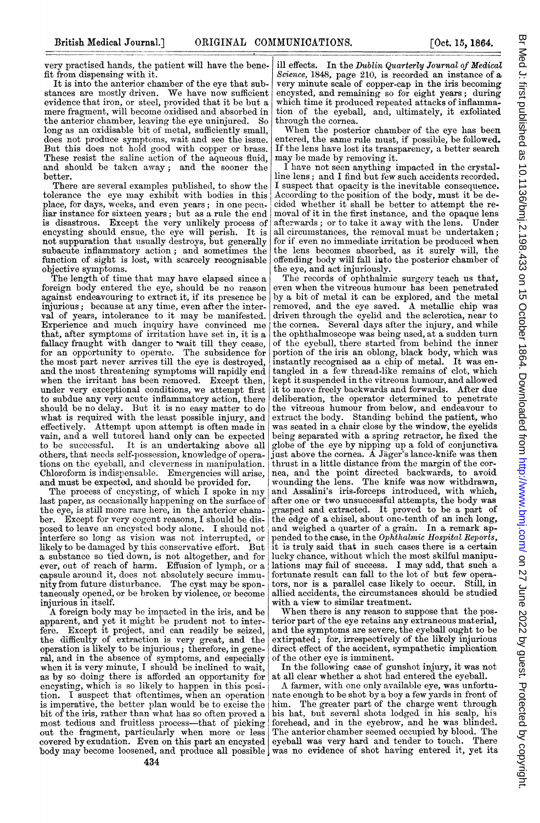very practised hands, the patient will have the benefit from dispensing with it.

It is into the anterior chamber of the eye that substances are mostly driven. We have now sufficient evidence that iron, or steel, provided that it be but a mere fragment, will become oxidised and absorbed in the anterior chamber, leaving the eye uninjured. So long as an oxidisable bit of metal, sufficiently small, does not produce symptoms, wait and see the issue. But this does not hold good with copper or brass. These resist the saline action of the aqueous fluid, and should be taken away; and the sooner the better.

There are several examples published, to show the tolerance the eye may exhibit with bodies in this place, for days, weeks, and even years; in one peculiar instance for sixteen years; but as a rule the end is disastrous. Except the very unlikely process of encysting should ensue, the eye will perish. It is not suppuration that usually destroys, but generally subacute inflammatory action; and sometimes the function of sight is lost, with scarcely recognisable objective symptoms.

The length of time that may have elapsed since a foreign body entered the eye, should be no reason against endeavouring to extract it, if its presence be injurious; because at any time, even after the interval of years, intolerance to it may be manifested. Experience and much inquiry have convinced me that, after symptoms of irritation have set in, it is a fallacy fraught with danger to wait till they cease, for an opportunity to operate. The subsidence for the most part never arrives till the eye is destroyed, and the most threatening symptoms will rapidly end when the irritant has been removed. Except then, under very exceptional conditions, we attempt first to subdue any very acute inflammatory action, there should be no delay. But it is no easy matter to do what is required with the least possible injury, and effectively. Attempt upon attempt is often made in vain, and a well tutored hand only can be expected to be successful. It is an undertaking above all It is an undertaking above all others, that needs self-possession, knowledge of operations on the eyeball, and cleverness in manipulation. Chloroform is indispensable. Emergencies will arise, and must be expected, and should be provided for.

The process of encysting, of which I spoke in my last paper, as occasionally happening on the surface of the eye, is still more rare here, in the anterior chamber. Except for very cogent reasons, I should be disposed to leave an encysted body alone. I should not interfere so long as vision was not interrupted, or likely to be damaged by this conservative effort. But a substance so tied down, is not altogether, and for ever, out of reach of harm. Effusion of lymph, or a capsule around it, does not absolutely secure immunity from future disturbance. The cyst may be spontaneously opened, or be broken by violence, or become injurious in itself.

A foreign body may be imnpacted in the iris, and be apparent, and yet it might be prudent not to interfere. Except it project, and can readily be seized, the difficulty of extraction is very great, and the operation is likely to be injurious; therefore, in general, and in the absence of symptoms, and especially when it is very minute, I should be inclined to wait. as by so doing there is afforded an opportunity for encysting, which is so likely to happen in this position. I suspect that oftentimes, when an operation is imperative, the better plan would be to excise the bit of the iris, rather than what has so often proved a most tedious and fruitless process-that of picking out the fragment, particularly when more or less covered by exudation. Even on this part an encysted body may become loosened, and produce all possible, was no evidence of shot having entered it, yet its

ill effects. In the Dublin Quarterly Journal of Medical Science, 1848, page 210, is recorded an instance of a very minute scale of copper-cap in the iris becoming encysted, and remaining so for eight years; during which time it produced repeated attacks of inflammation of the eyeball, and, ultimately, it exfoliated through the cornea.

When the posterior chamber of the eye has been entered, the same rule must, if possible, be followed. If the lens have lost its transparency, a better search may be made by removing it.

I lhave not seen anything impacted in the crystalline lens; and <sup>I</sup> find but few such accidents recorded. I suspect that opacity is the inevitable consequence. According to the position of the body, must it be decided whether it shall be better to attempt the removal of it in the first instance, and the opaque lens afterwards; or to take it away with the lens. Under all circumstances, the removal must be undertaken; for if even no immediate irritation be produced when the lens becomes absorbed, as it surely will, the offending body will fall into the posterior chamber of the eye, and act injuriously.

The records of ophthalmic surgery teach us that, even when the vitreous humour has been penetrated by a bit of metal it can be explored, and the metal removed, and the eye saved. A metallic chip was driven through the eyelid and the sclerotica, near to the cornea. Several days after the injury, and while the ophthalmoscope was being used, at a sudden turn of the eyeball, there started from behind the inner portion of the iris an oblong, black body, which was instantly recognised as a chip of metal. It was eninstantly recognised as a chip of metal. tangled in a few thread-like remains of clot, which kept it suspended in the vitreous humour, and allowed it to move freely backwards and forwards. After due deliberation, the operator determined to penetrate the vitreous humour from below, and endeavour to extract the body. Standing behind the patient, who was seated in a chair close by the window, the eyelids being separated with a spring retractor, he fixed the globe of the eye by nipping up a fold of conjunctiva just above the cornea. A Jäger's lance-knife was then thrust in a little distance from the margin of the cornea, and the point directed backwards, to avoid wounding the lens. The knife was now withdrawn, and Assalini's iris-forceps introduced, with which, after one or two unsuccessful attempts, the body was grasped and extracted. It proved to be a part of the edge of a chisel, about one-tenth of an inch long, and weighed a quarter of a grain. In a remark appended to the case, in the Ophthalmic Hospital Reports, it is truly said that in such cases there is a certain lucky chance, without which the most skilful manipulations may fail of success. <sup>I</sup> may add, that such a fortunate result can fall to the lot of but few operators, nor is a parallel case likely to occur. Still, in allied accidents, the circumstances should be studied with a view to similar treatment.

When there is any reason to suppose that the posterior part of the eye retains any extraneous material, and the symptoms are severe, the eyeball ought to be extirpated; for, irrespectively of the likely injurious direct effect of the accident, sympathetic implication of the other eye is imminent.

In the following case of gunshot injury, it was not at all clear whether a shot had entered the eyeball.

A farmer, with one only available eye, was unfortunate enough to be shot by a boy a few yards in front of him. The greater part of the charge went through his hat, but several shots lodged in his scalp, his forehead, and in the eyebrow, and he was blinded. The anterior chamber seemed occupied by blood. The eyeball was very hard and tender to touch. There